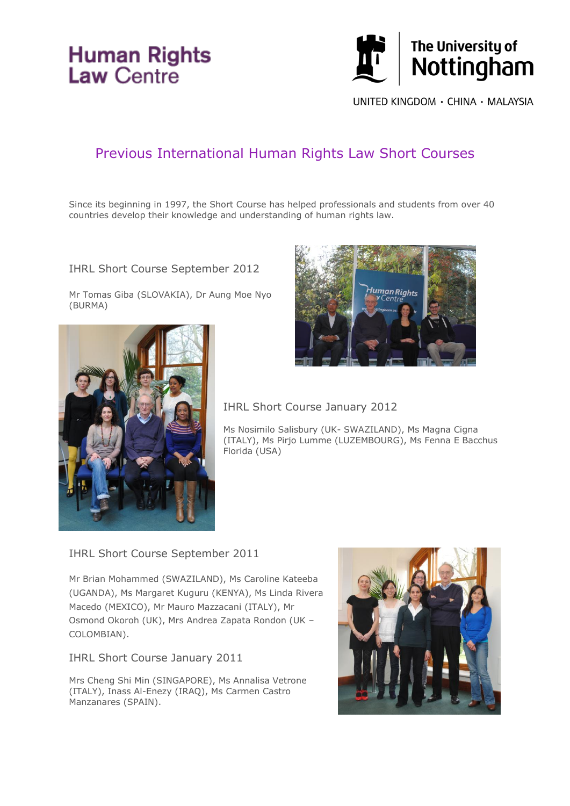# **Human Rights**<br>Law Centre



UNITED KINGDOM · CHINA · MALAYSIA

# Previous International Human Rights Law Short Courses

Since its beginning in 1997, the Short Course has helped professionals and students from over 40 countries develop their knowledge and understanding of human rights law.

IHRL Short Course September 2012

Mr Tomas Giba (SLOVAKIA), Dr Aung Moe Nyo (BURMA)





IHRL Short Course January 2012

Ms Nosimilo Salisbury (UK- SWAZILAND), Ms Magna Cigna (ITALY), Ms Pirjo Lumme (LUZEMBOURG), Ms Fenna E Bacchus Florida (USA)

IHRL Short Course September 2011

Mr Brian Mohammed (SWAZILAND), Ms Caroline Kateeba (UGANDA), Ms Margaret Kuguru (KENYA), Ms Linda Rivera Macedo (MEXICO), Mr Mauro Mazzacani (ITALY), Mr Osmond Okoroh (UK), Mrs Andrea Zapata Rondon (UK – COLOMBIAN).

IHRL Short Course January 2011

Mrs Cheng Shi Min (SINGAPORE), Ms Annalisa Vetrone (ITALY), Inass Al-Enezy (IRAQ), Ms Carmen Castro Manzanares (SPAIN).

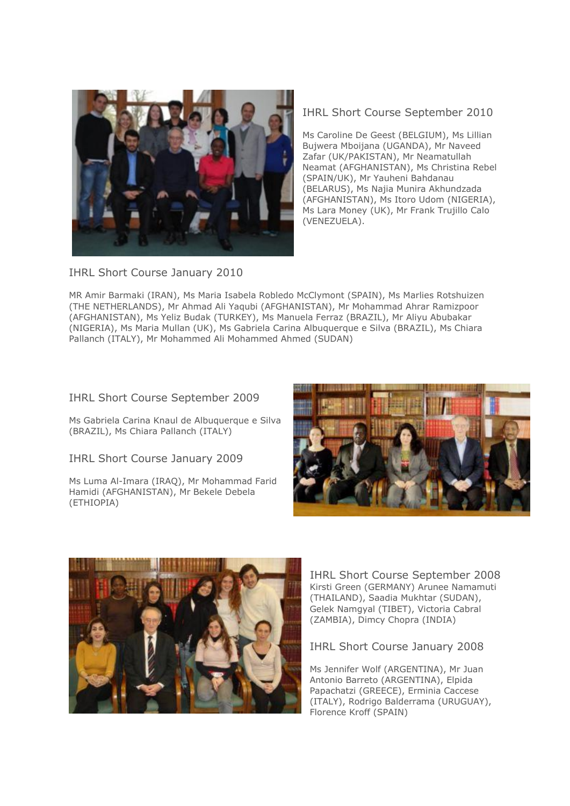

IHRL Short Course September 2010

Ms Caroline De Geest (BELGIUM), Ms Lillian Bujwera Mboijana (UGANDA), Mr Naveed Zafar (UK/PAKISTAN), Mr Neamatullah Neamat (AFGHANISTAN), Ms Christina Rebel (SPAIN/UK), Mr Yauheni Bahdanau (BELARUS), Ms Najia Munira Akhundzada (AFGHANISTAN), Ms Itoro Udom (NIGERIA), Ms Lara Money (UK), Mr Frank Trujillo Calo (VENEZUELA).

IHRL Short Course January 2010

MR Amir Barmaki (IRAN), Ms Maria Isabela Robledo McClymont (SPAIN), Ms Marlies Rotshuizen (THE NETHERLANDS), Mr Ahmad Ali Yaqubi (AFGHANISTAN), Mr Mohammad Ahrar Ramizpoor (AFGHANISTAN), Ms Yeliz Budak (TURKEY), Ms Manuela Ferraz (BRAZIL), Mr Aliyu Abubakar (NIGERIA), Ms Maria Mullan (UK), Ms Gabriela Carina Albuquerque e Silva (BRAZIL), Ms Chiara Pallanch (ITALY), Mr Mohammed Ali Mohammed Ahmed (SUDAN)

# IHRL Short Course September 2009

Ms Gabriela Carina Knaul de Albuquerque e Silva (BRAZIL), Ms Chiara Pallanch (ITALY)

IHRL Short Course January 2009

Ms Luma Al-Imara (IRAQ), Mr Mohammad Farid Hamidi (AFGHANISTAN), Mr Bekele Debela (ETHIOPIA)





IHRL Short Course September 2008 Kirsti Green (GERMANY) Arunee Namamuti (THAILAND), Saadia Mukhtar (SUDAN), Gelek Namgyal (TIBET), Victoria Cabral (ZAMBIA), Dimcy Chopra (INDIA)

#### IHRL Short Course January 2008

Ms Jennifer Wolf (ARGENTINA), Mr Juan Antonio Barreto (ARGENTINA), Elpida Papachatzi (GREECE), Erminia Caccese (ITALY), Rodrigo Balderrama (URUGUAY), Florence Kroff (SPAIN)